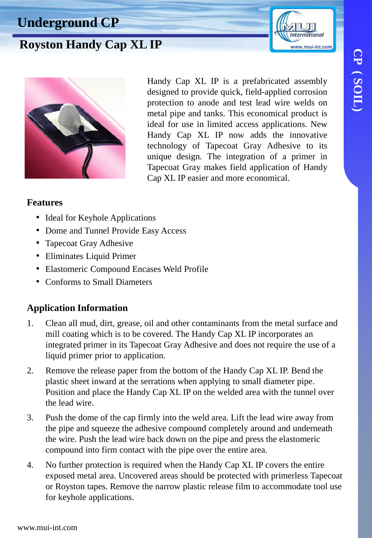# **CP ( SOIL)** CP (SOIL)

**International** www.mui-int.com

### **Underground CP**

## **Royston Handy Cap XL IP**



Handy Cap XL IP is a prefabricated assembly designed to provide quick, field-applied corrosion protection to anode and test lead wire welds on metal pipe and tanks. This economical product is ideal for use in limited access applications. New Handy Cap XL IP now adds the innovative technology of Tapecoat Gray Adhesive to its unique design. The integration of a primer in Tapecoat Gray makes field application of Handy Cap XL IP easier and more economical.

#### **Features**

- Ideal for Keyhole Applications
- Dome and Tunnel Provide Easy Access
- Tapecoat Gray Adhesive
- Eliminates Liquid Primer
- Elastomeric Compound Encases Weld Profile
- Conforms to Small Diameters

#### **Application Information**

- 1. Clean all mud, dirt, grease, oil and other contaminants from the metal surface and mill coating which is to be covered. The Handy Cap XL IP incorporates an integrated primer in its Tapecoat Gray Adhesive and does not require the use of a liquid primer prior to application.
- 2. Remove the release paper from the bottom of the Handy Cap XL IP. Bend the plastic sheet inward at the serrations when applying to small diameter pipe. Position and place the Handy Cap XL IP on the welded area with the tunnel over the lead wire.
- 3. Push the dome of the cap firmly into the weld area. Lift the lead wire away from the pipe and squeeze the adhesive compound completely around and underneath the wire. Push the lead wire back down on the pipe and press the elastomeric compound into firm contact with the pipe over the entire area.
- 4. No further protection is required when the Handy Cap XL IP covers the entire exposed metal area. Uncovered areas should be protected with primerless Tapecoat or Royston tapes. Remove the narrow plastic release film to accommodate tool use for keyhole applications.